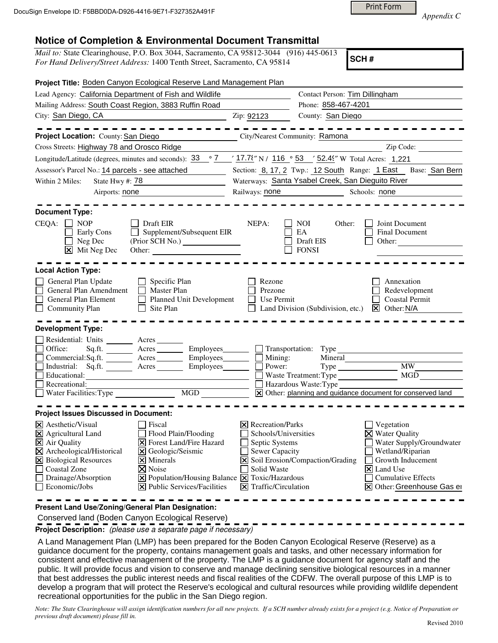Print Form

*Appendix C* 

## **Notice of Completion & Environmental Document Transmittal**

| <i>Mail to:</i> State Clearinghouse, P.O. Box 3044, Sacramento, CA 95812-3044 (916) 445-0613 |  |
|----------------------------------------------------------------------------------------------|--|
| For Hand Delivery/Street Address: 1400 Tenth Street, Sacramento, CA 95814                    |  |

**SCH #**

| Project Title: Boden Canyon Ecological Reserve Land Management Plan                                                                                                                                                                                                                                                                                                                                                                                    |                                                                                                                                             |                                                                                                                                                                                                                              |  |  |  |
|--------------------------------------------------------------------------------------------------------------------------------------------------------------------------------------------------------------------------------------------------------------------------------------------------------------------------------------------------------------------------------------------------------------------------------------------------------|---------------------------------------------------------------------------------------------------------------------------------------------|------------------------------------------------------------------------------------------------------------------------------------------------------------------------------------------------------------------------------|--|--|--|
| Lead Agency: California Department of Fish and Wildlife                                                                                                                                                                                                                                                                                                                                                                                                |                                                                                                                                             | Contact Person: Tim Dillingham                                                                                                                                                                                               |  |  |  |
| Mailing Address: South Coast Region, 3883 Ruffin Road                                                                                                                                                                                                                                                                                                                                                                                                  |                                                                                                                                             | Phone: 858-467-4201                                                                                                                                                                                                          |  |  |  |
| City: San Diego, CA                                                                                                                                                                                                                                                                                                                                                                                                                                    | Zip: 92123                                                                                                                                  | County: San Diego                                                                                                                                                                                                            |  |  |  |
| Project Location: County: San Diego                                                                                                                                                                                                                                                                                                                                                                                                                    | City/Nearest Community: Ramona                                                                                                              |                                                                                                                                                                                                                              |  |  |  |
| Cross Streets: Highway 78 and Orosco Ridge                                                                                                                                                                                                                                                                                                                                                                                                             |                                                                                                                                             | Zip Code:                                                                                                                                                                                                                    |  |  |  |
| Longitude/Latitude (degrees, minutes and seconds): $\frac{33}{97}$ $\frac{7}{17.75}$ N/ 116 $\degree$ 53 $\degree$ 52.4° W Total Acres: 1,221                                                                                                                                                                                                                                                                                                          |                                                                                                                                             |                                                                                                                                                                                                                              |  |  |  |
| Assessor's Parcel No.: 14 parcels - see attached<br><u>and the state</u>                                                                                                                                                                                                                                                                                                                                                                               | Section: 8, 17, 2 Twp.: 12 South Range: 1 East Base: San Bern                                                                               |                                                                                                                                                                                                                              |  |  |  |
| State Hwy #: 78<br>Within 2 Miles:                                                                                                                                                                                                                                                                                                                                                                                                                     |                                                                                                                                             | Waterways: Santa Ysabel Creek, San Dieguito River                                                                                                                                                                            |  |  |  |
| Airports: none<br><u> 1990 - Johann Barbara, martin d</u>                                                                                                                                                                                                                                                                                                                                                                                              | Railways: none                                                                                                                              | Schools: none                                                                                                                                                                                                                |  |  |  |
| <b>Document Type:</b><br>CEQA:<br><b>NOP</b><br>Draft EIR<br>Supplement/Subsequent EIR<br>Early Cons<br>Neg Dec<br>$\boxtimes$ Mit Neg Dec<br>Other:                                                                                                                                                                                                                                                                                                   | NEPA:                                                                                                                                       | <b>NOI</b><br>Other:<br>Joint Document<br>EA<br>Final Document<br>Draft EIS<br>Other:<br><b>FONSI</b>                                                                                                                        |  |  |  |
| <b>Local Action Type:</b><br>General Plan Update<br>Specific Plan<br>General Plan Amendment<br>Master Plan<br>General Plan Element<br>Planned Unit Development<br><b>Community Plan</b><br>Site Plan                                                                                                                                                                                                                                                   | Rezone<br>Prezone<br>Use Permit                                                                                                             | Annexation<br>Redevelopment<br><b>Coastal Permit</b><br>Land Division (Subdivision, etc.)<br>$X$ Other: N/A                                                                                                                  |  |  |  |
| <b>Development Type:</b><br>Residential: Units _______<br>Office:<br>Employees_<br>Sq.fit.<br>A <sub>cres</sub><br>Employees_<br>$\Box$ Commercial: Sq.ft.<br>A <sub>cres</sub><br>$\Box$ Industrial: Sq.ft.<br>Employees<br>Acres<br>Educational:<br>Recreational:<br>$\overline{MGD}$<br>$\Box$ Water Facilities: Type                                                                                                                               | Transportation:<br>$\blacksquare$ Mining:<br>Power:                                                                                         | Type<br>Mineral<br>MW<br>MGD<br>Waste Treatment: Type<br>Hazardous Waste: Type<br>X Other: planning and guidance document for conserved land                                                                                 |  |  |  |
| <b>Project Issues Discussed in Document:</b>                                                                                                                                                                                                                                                                                                                                                                                                           |                                                                                                                                             |                                                                                                                                                                                                                              |  |  |  |
| $\overline{\mathsf{x}}$ Aesthetic/Visual<br>Fiscal<br>X Agricultural Land<br>Flood Plain/Flooding<br><b>X</b> Forest Land/Fire Hazard<br>X Air Quality<br>$\boxtimes$ Archeological/Historical<br>Geologic/Seismic<br>Ι×Ι<br>X Biological Resources<br>$\times$ Minerals<br>Coastal Zone<br><b>X</b> Noise<br>Drainage/Absorption<br>X Population/Housing Balance X Toxic/Hazardous<br>Economic/Jobs<br>$ \mathbf{\nabla} $ Public Services/Facilities | $\boxtimes$ Recreation/Parks<br>Schools/Universities<br>Septic Systems<br><b>Sewer Capacity</b><br>Solid Waste<br>$\Xi$ Traffic/Circulation | Vegetation<br>$\times$ Water Quality<br>Water Supply/Groundwater<br>Wetland/Riparian<br>X Soil Erosion/Compaction/Grading<br>Growth Inducement<br>Land Use<br>l×l<br><b>Cumulative Effects</b><br>X Other: Greenhouse Gas er |  |  |  |

**Present Land Use/Zoning/General Plan Designation:**

Conserved land (Boden Canyon Ecological Reserve)

**Project Description:** (please use a separate page if necessary)

 A Land Management Plan (LMP) has been prepared for the Boden Canyon Ecological Reserve (Reserve) as a guidance document for the property, contains management goals and tasks, and other necessary information for consistent and effective management of the property. The LMP is a guidance document for agency staff and the public. It will provide focus and vision to conserve and manage declining sensitive biological resources in a manner that best addresses the public interest needs and fiscal realities of the CDFW. The overall purpose of this LMP is to develop a program that will protect the Reserve's ecological and cultural resources while providing wildlife dependent recreational opportunities for the public in the San Diego region.

*Note: The State Clearinghouse will assign identification numbers for all new projects. If a SCH number already exists for a project (e.g. Notice of Preparation or previous draft document) please fill in.*